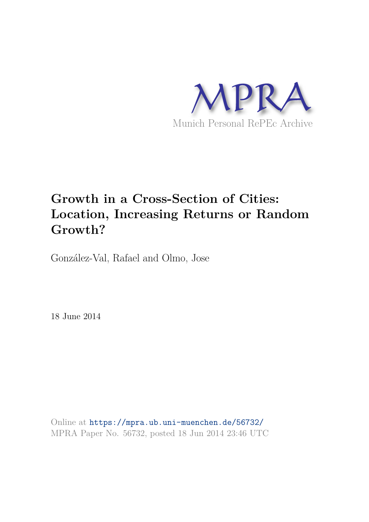

## **Growth in a Cross-Section of Cities: Location, Increasing Returns or Random Growth?**

González-Val, Rafael and Olmo, Jose

18 June 2014

Online at https://mpra.ub.uni-muenchen.de/56732/ MPRA Paper No. 56732, posted 18 Jun 2014 23:46 UTC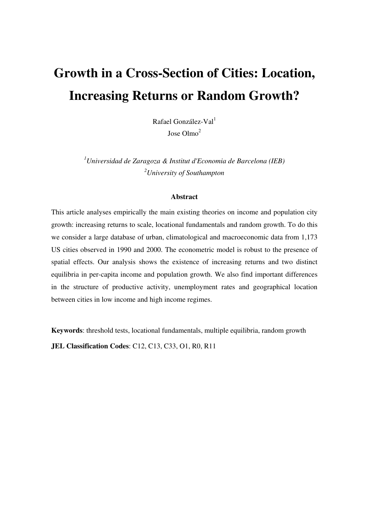# **Growth in a Cross-Section of Cities: Location, Increasing Returns or Random Growth?**

Rafael González-Val<sup>1</sup> Iose  $O/mo^2$ 

*<sup>1</sup>Universidad de Zaragoza & Institut d'Economia de Barcelona (IEB) <sup>2</sup>University of Southampton* 

#### **Abstract**

This article analyses empirically the main existing theories on income and population city growth: increasing returns to scale, locational fundamentals and random growth. To do this we consider a large database of urban, climatological and macroeconomic data from 1,173 US cities observed in 1990 and 2000. The econometric model is robust to the presence of spatial effects. Our analysis shows the existence of increasing returns and two distinct equilibria in per-capita income and population growth. We also find important differences in the structure of productive activity, unemployment rates and geographical location between cities in low income and high income regimes.

**Keywords**: threshold tests, locational fundamentals, multiple equilibria, random growth **JEL Classification Codes**: C12, C13, C33, O1, R0, R11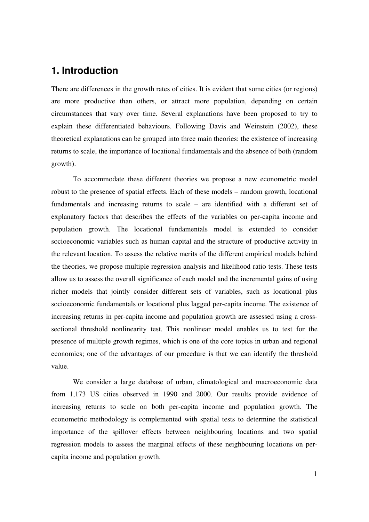## **1. Introduction**

There are differences in the growth rates of cities. It is evident that some cities (or regions) are more productive than others, or attract more population, depending on certain circumstances that vary over time. Several explanations have been proposed to try to explain these differentiated behaviours. Following Davis and Weinstein (2002), these theoretical explanations can be grouped into three main theories: the existence of increasing returns to scale, the importance of locational fundamentals and the absence of both (random growth).

To accommodate these different theories we propose a new econometric model robust to the presence of spatial effects. Each of these models – random growth, locational fundamentals and increasing returns to scale – are identified with a different set of explanatory factors that describes the effects of the variables on per-capita income and population growth. The locational fundamentals model is extended to consider socioeconomic variables such as human capital and the structure of productive activity in the relevant location. To assess the relative merits of the different empirical models behind the theories, we propose multiple regression analysis and likelihood ratio tests. These tests allow us to assess the overall significance of each model and the incremental gains of using richer models that jointly consider different sets of variables, such as locational plus socioeconomic fundamentals or locational plus lagged per-capita income. The existence of increasing returns in per-capita income and population growth are assessed using a crosssectional threshold nonlinearity test. This nonlinear model enables us to test for the presence of multiple growth regimes, which is one of the core topics in urban and regional economics; one of the advantages of our procedure is that we can identify the threshold value.

We consider a large database of urban, climatological and macroeconomic data from 1,173 US cities observed in 1990 and 2000. Our results provide evidence of increasing returns to scale on both per-capita income and population growth. The econometric methodology is complemented with spatial tests to determine the statistical importance of the spillover effects between neighbouring locations and two spatial regression models to assess the marginal effects of these neighbouring locations on percapita income and population growth.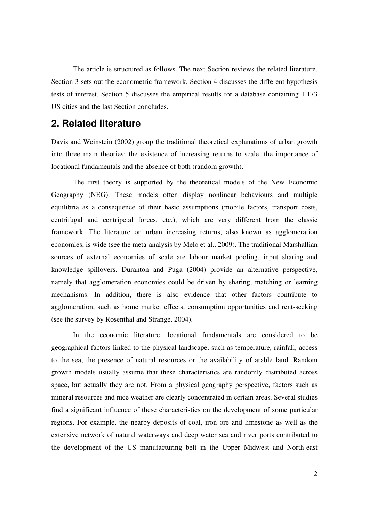The article is structured as follows. The next Section reviews the related literature. Section 3 sets out the econometric framework. Section 4 discusses the different hypothesis tests of interest. Section 5 discusses the empirical results for a database containing 1,173 US cities and the last Section concludes.

### **2. Related literature**

Davis and Weinstein (2002) group the traditional theoretical explanations of urban growth into three main theories: the existence of increasing returns to scale, the importance of locational fundamentals and the absence of both (random growth).

The first theory is supported by the theoretical models of the New Economic Geography (NEG). These models often display nonlinear behaviours and multiple equilibria as a consequence of their basic assumptions (mobile factors, transport costs, centrifugal and centripetal forces, etc.), which are very different from the classic framework. The literature on urban increasing returns, also known as agglomeration economies, is wide (see the meta-analysis by Melo et al., 2009). The traditional Marshallian sources of external economies of scale are labour market pooling, input sharing and knowledge spillovers. Duranton and Puga (2004) provide an alternative perspective, namely that agglomeration economies could be driven by sharing, matching or learning mechanisms. In addition, there is also evidence that other factors contribute to agglomeration, such as home market effects, consumption opportunities and rent-seeking (see the survey by Rosenthal and Strange, 2004).

In the economic literature, locational fundamentals are considered to be geographical factors linked to the physical landscape, such as temperature, rainfall, access to the sea, the presence of natural resources or the availability of arable land. Random growth models usually assume that these characteristics are randomly distributed across space, but actually they are not. From a physical geography perspective, factors such as mineral resources and nice weather are clearly concentrated in certain areas. Several studies find a significant influence of these characteristics on the development of some particular regions. For example, the nearby deposits of coal, iron ore and limestone as well as the extensive network of natural waterways and deep water sea and river ports contributed to the development of the US manufacturing belt in the Upper Midwest and North-east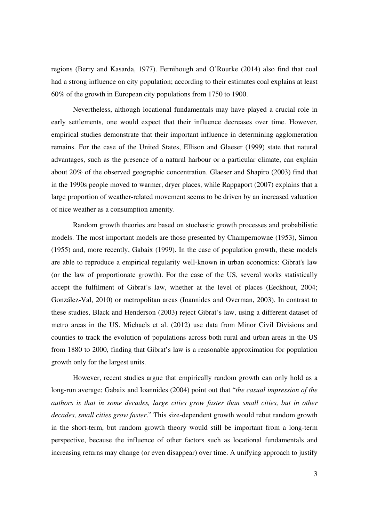regions (Berry and Kasarda, 1977). Fernihough and O'Rourke (2014) also find that coal had a strong influence on city population; according to their estimates coal explains at least 60% of the growth in European city populations from 1750 to 1900.

Nevertheless, although locational fundamentals may have played a crucial role in early settlements, one would expect that their influence decreases over time. However, empirical studies demonstrate that their important influence in determining agglomeration remains. For the case of the United States, Ellison and Glaeser (1999) state that natural advantages, such as the presence of a natural harbour or a particular climate, can explain about 20% of the observed geographic concentration. Glaeser and Shapiro (2003) find that in the 1990s people moved to warmer, dryer places, while Rappaport (2007) explains that a large proportion of weather-related movement seems to be driven by an increased valuation of nice weather as a consumption amenity.

Random growth theories are based on stochastic growth processes and probabilistic models. The most important models are those presented by Champernowne (1953), Simon (1955) and, more recently, Gabaix (1999). In the case of population growth, these models are able to reproduce a empirical regularity well-known in urban economics: Gibrat's law (or the law of proportionate growth). For the case of the US, several works statistically accept the fulfilment of Gibrat's law, whether at the level of places (Eeckhout, 2004; González-Val, 2010) or metropolitan areas (Ioannides and Overman, 2003). In contrast to these studies, Black and Henderson (2003) reject Gibrat's law, using a different dataset of metro areas in the US. Michaels et al. (2012) use data from Minor Civil Divisions and counties to track the evolution of populations across both rural and urban areas in the US from 1880 to 2000, finding that Gibrat's law is a reasonable approximation for population growth only for the largest units.

However, recent studies argue that empirically random growth can only hold as a long-run average; Gabaix and Ioannides (2004) point out that "*the casual impression of the authors is that in some decades, large cities grow faster than small cities, but in other decades, small cities grow faster*." This size-dependent growth would rebut random growth in the short-term, but random growth theory would still be important from a long-term perspective, because the influence of other factors such as locational fundamentals and increasing returns may change (or even disappear) over time. A unifying approach to justify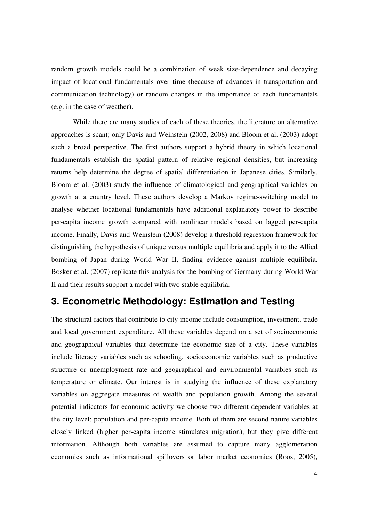random growth models could be a combination of weak size-dependence and decaying impact of locational fundamentals over time (because of advances in transportation and communication technology) or random changes in the importance of each fundamentals (e.g. in the case of weather).

While there are many studies of each of these theories, the literature on alternative approaches is scant; only Davis and Weinstein (2002, 2008) and Bloom et al. (2003) adopt such a broad perspective. The first authors support a hybrid theory in which locational fundamentals establish the spatial pattern of relative regional densities, but increasing returns help determine the degree of spatial differentiation in Japanese cities. Similarly, Bloom et al. (2003) study the influence of climatological and geographical variables on growth at a country level. These authors develop a Markov regime-switching model to analyse whether locational fundamentals have additional explanatory power to describe per-capita income growth compared with nonlinear models based on lagged per-capita income. Finally, Davis and Weinstein (2008) develop a threshold regression framework for distinguishing the hypothesis of unique versus multiple equilibria and apply it to the Allied bombing of Japan during World War II, finding evidence against multiple equilibria. Bosker et al. (2007) replicate this analysis for the bombing of Germany during World War II and their results support a model with two stable equilibria.

## **3. Econometric Methodology: Estimation and Testing**

The structural factors that contribute to city income include consumption, investment, trade and local government expenditure. All these variables depend on a set of socioeconomic and geographical variables that determine the economic size of a city. These variables include literacy variables such as schooling, socioeconomic variables such as productive structure or unemployment rate and geographical and environmental variables such as temperature or climate. Our interest is in studying the influence of these explanatory variables on aggregate measures of wealth and population growth. Among the several potential indicators for economic activity we choose two different dependent variables at the city level: population and per-capita income. Both of them are second nature variables closely linked (higher per-capita income stimulates migration), but they give different information. Although both variables are assumed to capture many agglomeration economies such as informational spillovers or labor market economies (Roos, 2005),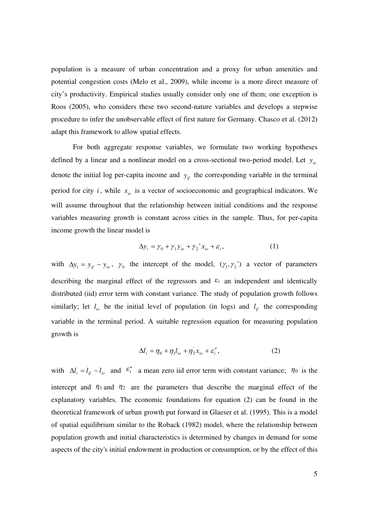population is a measure of urban concentration and a proxy for urban amenities and potential congestion costs (Melo et al., 2009), while income is a more direct measure of city's productivity. Empirical studies usually consider only one of them; one exception is Roos (2005), who considers these two second-nature variables and develops a stepwise procedure to infer the unobservable effect of first nature for Germany. Chasco et al. (2012) adapt this framework to allow spatial effects.

For both aggregate response variables, we formulate two working hypotheses defined by a linear and a nonlinear model on a cross-sectional two-period model. Let  $y_{i_0}$ denote the initial log per-capita income and  $y_{if}$  the corresponding variable in the terminal period for city  $i$ , while  $x_{i0}$  is a vector of socioeconomic and geographical indicators. We will assume throughout that the relationship between initial conditions and the response variables measuring growth is constant across cities in the sample. Thus, for per-capita income growth the linear model is

$$
\Delta y_i = \gamma_0 + \gamma_1 y_{io} + \gamma_2' x_{io} + \varepsilon_i, \qquad (1)
$$

with  $\Delta y_i = y_{i} - y_{i}$ ,  $\gamma_0$  the intercept of the model,  $(\gamma_1, \gamma_2)$  a vector of parameters describing the marginal effect of the regressors and  $\varepsilon_i$  an independent and identically distributed (iid) error term with constant variance. The study of population growth follows similarly; let  $l_{io}$  be the initial level of population (in logs) and  $l_{if}$  the corresponding variable in the terminal period. A suitable regression equation for measuring population growth is

$$
\Delta l_i = \eta_0 + \eta_1 l_{io} + \eta_2 x_{io} + \varepsilon_i^*,
$$
 (2)

with  $\Delta l_i = l_{if} - l_{io}$  and  $\varepsilon_i^*$  a mean zero iid error term with constant variance;  $\eta_0$  is the intercept and  $\eta_1$  and  $\eta_2$  are the parameters that describe the marginal effect of the explanatory variables. The economic foundations for equation (2) can be found in the theoretical framework of urban growth put forward in Glaeser et al. (1995). This is a model of spatial equilibrium similar to the Roback (1982) model, where the relationship between population growth and initial characteristics is determined by changes in demand for some aspects of the city's initial endowment in production or consumption, or by the effect of this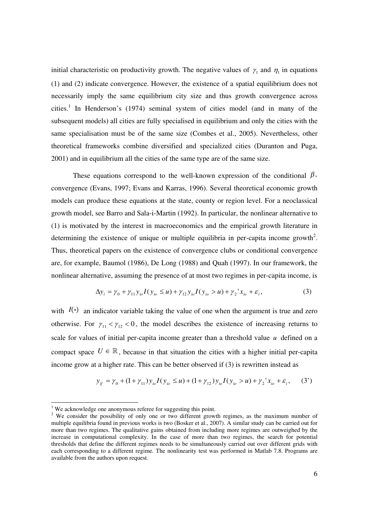initial characteristic on productivity growth. The negative values of  $\gamma_1$  and  $\eta_1$  in equations (1) and (2) indicate convergence. However, the existence of a spatial equilibrium does not necessarily imply the same equilibrium city size and thus growth convergence across cities.<sup>1</sup> In Henderson's (1974) seminal system of cities model (and in many of the subsequent models) all cities are fully specialised in equilibrium and only the cities with the same specialisation must be of the same size (Combes et al., 2005). Nevertheless, other theoretical frameworks combine diversified and specialized cities (Duranton and Puga, 2001) and in equilibrium all the cities of the same type are of the same size.

These equations correspond to the well-known expression of the conditional  $\beta$ convergence (Evans, 1997; Evans and Karras, 1996). Several theoretical economic growth models can produce these equations at the state, county or region level. For a neoclassical growth model, see Barro and Sala-i-Martin (1992). In particular, the nonlinear alternative to (1) is motivated by the interest in macroeconomics and the empirical growth literature in determining the existence of unique or multiple equilibria in per-capita income growth<sup>2</sup>. Thus, theoretical papers on the existence of convergence clubs or conditional convergence are, for example, Baumol (1986), De Long (1988) and Quah (1997). In our framework, the nonlinear alternative, assuming the presence of at most two regimes in per-capita income, is

$$
\Delta y_i = \gamma_0 + \gamma_{11} y_{io} I(y_{io} \le u) + \gamma_{12} y_{io} I(y_{io} > u) + \gamma_2 x_{io} + \varepsilon_i,
$$
\n(3)

with  $I(\cdot)$  an indicator variable taking the value of one when the argument is true and zero otherwise. For  $\gamma_{11} < \gamma_{12} < 0$ , the model describes the existence of increasing returns to scale for values of initial per-capita income greater than a threshold value *u* defined on a compact space  $U \in \mathbb{R}$ , because in that situation the cities with a higher initial per-capita income grow at a higher rate. This can be better observed if (3) is rewritten instead as

$$
y_{if} = \gamma_0 + (1 + \gamma_{11}) y_{io} I(y_{io} \le u) + (1 + \gamma_{12}) y_{io} I(y_{io} > u) + \gamma_2' x_{io} + \varepsilon_i, \quad (3')
$$

-

<sup>&</sup>lt;sup>1</sup> We acknowledge one anonymous referee for suggesting this point.

<sup>&</sup>lt;sup>2</sup> We consider the possibility of only one or two different growth regimes, as the maximum number of multiple equilibria found in previous works is two (Bosker et al., 2007). A similar study can be carried out for more than two regimes. The qualitative gains obtained from including more regimes are outweighed by the increase in computational complexity. In the case of more than two regimes, the search for potential thresholds that define the different regimes needs to be simultaneously carried out over different grids with each corresponding to a different regime. The nonlinearity test was performed in Matlab 7.8. Programs are available from the authors upon request.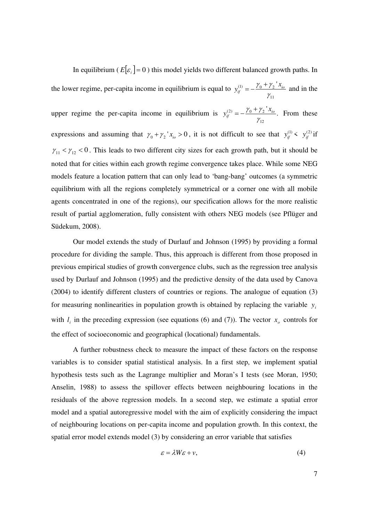In equilibrium ( $E[\varepsilon] = 0$ ) this model yields two different balanced growth paths. In the lower regime, per-capita income in equilibrium is equal to  $y_{it}^{(1)} = -\frac{\gamma_0 + \gamma_2}{\gamma_1}$ 11  $y_{ij}^{(1)} = -\frac{\gamma_0 + \gamma_2^{\prime} x_{io}}{n}$  $y_{if}^{(1)} = -\frac{\gamma_0 + \gamma_2^{\prime} x}{\gamma_1^{\prime} x}$ γ  $=-\frac{\gamma_0 + \gamma_2 \dot{x}_{io}}{x_{io}}$  and in the upper regime the per-capita income in equilibrium is  $y_{it}^{(2)} = -\frac{\gamma_0 + \gamma_2}{\gamma_2}$ 12  $y_{ij}^{(2)} = -\frac{\gamma_0 + \gamma_2' x_{io}}{r}$ .  $y_{if}^{(2)} = -\frac{\gamma_0 + \gamma_2}{x}$ γ  $=-\frac{\gamma_0 + \gamma_2' x_{io}}{\gamma_0}$ . From these expressions and assuming that  $\gamma_0 + \gamma_2' x_{i_0} > 0$ , it is not difficult to see that  $y_{if}^{(1)} \le y_{if}^{(2)}$  if  $\gamma_{11} < \gamma_{12} < 0$ . This leads to two different city sizes for each growth path, but it should be noted that for cities within each growth regime convergence takes place. While some NEG models feature a location pattern that can only lead to 'bang-bang' outcomes (a symmetric equilibrium with all the regions completely symmetrical or a corner one with all mobile agents concentrated in one of the regions), our specification allows for the more realistic result of partial agglomeration, fully consistent with others NEG models (see Pflüger and Südekum, 2008).

 Our model extends the study of Durlauf and Johnson (1995) by providing a formal procedure for dividing the sample. Thus, this approach is different from those proposed in previous empirical studies of growth convergence clubs, such as the regression tree analysis used by Durlauf and Johnson (1995) and the predictive density of the data used by Canova (2004) to identify different clusters of countries or regions. The analogue of equation (3) for measuring nonlinearities in population growth is obtained by replacing the variable  $y_i$ with  $l_i$  in the preceding expression (see equations (6) and (7)). The vector  $x_o$  controls for the effect of socioeconomic and geographical (locational) fundamentals.

A further robustness check to measure the impact of these factors on the response variables is to consider spatial statistical analysis. In a first step, we implement spatial hypothesis tests such as the Lagrange multiplier and Moran's I tests (see Moran, 1950; Anselin, 1988) to assess the spillover effects between neighbouring locations in the residuals of the above regression models. In a second step, we estimate a spatial error model and a spatial autoregressive model with the aim of explicitly considering the impact of neighbouring locations on per-capita income and population growth. In this context, the spatial error model extends model (3) by considering an error variable that satisfies

$$
\varepsilon = \lambda W \varepsilon + v,\tag{4}
$$

7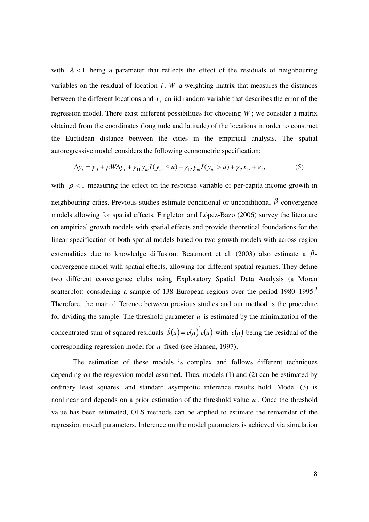with  $|\lambda|$  < 1 being a parameter that reflects the effect of the residuals of neighbouring variables on the residual of location  $i$ ,  $W$  a weighting matrix that measures the distances between the different locations and  $v_i$  and iid random variable that describes the error of the regression model. There exist different possibilities for choosing *W* ; we consider a matrix obtained from the coordinates (longitude and latitude) of the locations in order to construct the Euclidean distance between the cities in the empirical analysis. The spatial autoregressive model considers the following econometric specification:

$$
\Delta y_i = \gamma_0 + \rho W \Delta y_i + \gamma_{11} y_{io} I(y_{io} \le u) + \gamma_{12} y_{io} I(y_{io} > u) + \gamma_2 x_{io} + \varepsilon_i,
$$
\n(5)

with  $|\rho|$  < 1 measuring the effect on the response variable of per-capita income growth in neighbouring cities. Previous studies estimate conditional or unconditional  $\beta$ -convergence models allowing for spatial effects. Fingleton and López-Bazo (2006) survey the literature on empirical growth models with spatial effects and provide theoretical foundations for the linear specification of both spatial models based on two growth models with across-region externalities due to knowledge diffusion. Beaumont et al. (2003) also estimate a  $\beta$ convergence model with spatial effects, allowing for different spatial regimes. They define two different convergence clubs using Exploratory Spatial Data Analysis (a Moran scatterplot) considering a sample of 138 European regions over the period 1980–1995.<sup>3</sup> Therefore, the main difference between previous studies and our method is the procedure for dividing the sample. The threshold parameter  $u$  is estimated by the minimization of the concentrated sum of squared residuals  $\hat{S}(u) = e(u)'e(u)$  with  $e(u)$  being the residual of the corresponding regression model for *u* fixed (see Hansen, 1997).

 The estimation of these models is complex and follows different techniques depending on the regression model assumed. Thus, models (1) and (2) can be estimated by ordinary least squares, and standard asymptotic inference results hold. Model (3) is nonlinear and depends on a prior estimation of the threshold value *u* . Once the threshold value has been estimated, OLS methods can be applied to estimate the remainder of the regression model parameters. Inference on the model parameters is achieved via simulation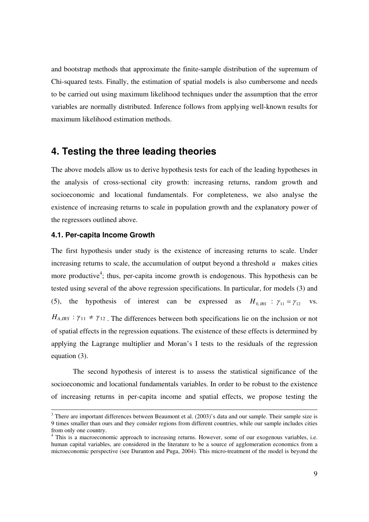and bootstrap methods that approximate the finite-sample distribution of the supremum of Chi-squared tests. Finally, the estimation of spatial models is also cumbersome and needs to be carried out using maximum likelihood techniques under the assumption that the error variables are normally distributed. Inference follows from applying well-known results for maximum likelihood estimation methods.

## **4. Testing the three leading theories**

The above models allow us to derive hypothesis tests for each of the leading hypotheses in the analysis of cross-sectional city growth: increasing returns, random growth and socioeconomic and locational fundamentals. For completeness, we also analyse the existence of increasing returns to scale in population growth and the explanatory power of the regressors outlined above.

#### **4.1. Per-capita Income Growth**

The first hypothesis under study is the existence of increasing returns to scale. Under increasing returns to scale, the accumulation of output beyond a threshold *u* makes cities more productive<sup>4</sup>; thus, per-capita income growth is endogenous. This hypothesis can be tested using several of the above regression specifications. In particular, for models (3) and (5), the hypothesis of interest can be expressed as  $H_{0,RS}$  :  $\gamma_{11} = \gamma_{12}$  vs.  $H_{A,IRS}$ :  $\gamma_{11} \neq \gamma_{12}$ . The differences between both specifications lie on the inclusion or not of spatial effects in the regression equations. The existence of these effects is determined by applying the Lagrange multiplier and Moran's I tests to the residuals of the regression equation (3).

The second hypothesis of interest is to assess the statistical significance of the socioeconomic and locational fundamentals variables. In order to be robust to the existence of increasing returns in per-capita income and spatial effects, we propose testing the

 $3$  There are important differences between Beaumont et al. (2003)'s data and our sample. Their sample size is 9 times smaller than ours and they consider regions from different countries, while our sample includes cities from only one country.

<sup>&</sup>lt;sup>4</sup> This is a macroeconomic approach to increasing returns. However, some of our exogenous variables, i.e. human capital variables, are considered in the literature to be a source of agglomeration economics from a microeconomic perspective (see Duranton and Puga, 2004). This micro-treatment of the model is beyond the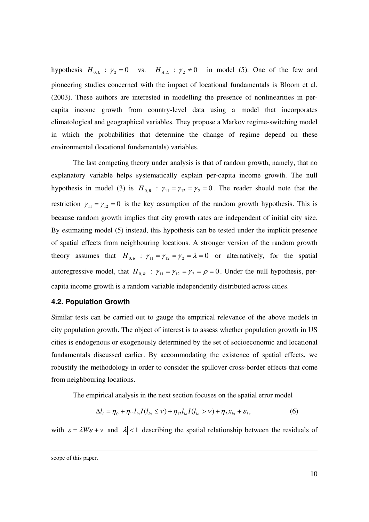hypothesis  $H_{0,L}$ :  $\gamma_2 = 0$  vs.  $H_{A,L}$ :  $\gamma_2 \neq 0$  in model (5). One of the few and pioneering studies concerned with the impact of locational fundamentals is Bloom et al. (2003). These authors are interested in modelling the presence of nonlinearities in percapita income growth from country-level data using a model that incorporates climatological and geographical variables. They propose a Markov regime-switching model in which the probabilities that determine the change of regime depend on these environmental (locational fundamentals) variables.

The last competing theory under analysis is that of random growth, namely, that no explanatory variable helps systematically explain per-capita income growth. The null hypothesis in model (3) is  $H_{0,R}$ :  $\gamma_{11} = \gamma_{12} = \gamma_2 = 0$ . The reader should note that the restriction  $\gamma_{11} = \gamma_{12} = 0$  is the key assumption of the random growth hypothesis. This is because random growth implies that city growth rates are independent of initial city size. By estimating model (5) instead, this hypothesis can be tested under the implicit presence of spatial effects from neighbouring locations. A stronger version of the random growth theory assumes that  $H_{0,R}$ :  $\gamma_{11} = \gamma_{12} = \gamma_2 = \lambda = 0$  or alternatively, for the spatial autoregressive model, that  $H_{0,R}$ :  $\gamma_{11} = \gamma_{12} = \gamma_2 = \rho = 0$ . Under the null hypothesis, percapita income growth is a random variable independently distributed across cities.

#### **4.2. Population Growth**

Similar tests can be carried out to gauge the empirical relevance of the above models in city population growth. The object of interest is to assess whether population growth in US cities is endogenous or exogenously determined by the set of socioeconomic and locational fundamentals discussed earlier. By accommodating the existence of spatial effects, we robustify the methodology in order to consider the spillover cross-border effects that come from neighbouring locations.

The empirical analysis in the next section focuses on the spatial error model

$$
\Delta l_i = \eta_0 + \eta_{11} l_{io} I(l_{io} \le v) + \eta_{12} l_{io} I(l_{io} > v) + \eta_2 x_{io} + \varepsilon_i,
$$
\n(6)

with  $\varepsilon = \lambda W \varepsilon + v$  and  $|\lambda| < 1$  describing the spatial relationship between the residuals of

 $\overline{a}$ 

scope of this paper.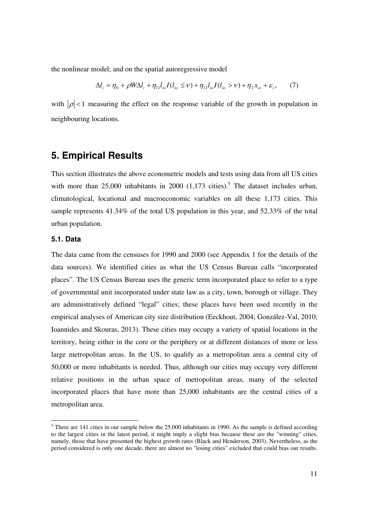the nonlinear model; and on the spatial autoregressive model

$$
\Delta l_i = \eta_0 + \rho W \Delta l_i + \eta_{11} l_{io} I(l_{io} \le v) + \eta_{12} l_{io} I(l_{io} > v) + \eta_2 x_{io} + \varepsilon_i, \tag{7}
$$

with  $|\rho|$  < 1 measuring the effect on the response variable of the growth in population in neighbouring locations*.*

## **5. Empirical Results**

This section illustrates the above econometric models and tests using data from all US cities with more than  $25,000$  inhabitants in  $2000$   $(1,173$  cities).<sup>5</sup> The dataset includes urban, climatological, locational and macroeconomic variables on all these 1,173 cities. This sample represents 41.34% of the total US population in this year, and 52.33% of the total urban population.

#### **5.1. Data**

-

The data came from the censuses for 1990 and 2000 (see Appendix 1 for the details of the data sources). We identified cities as what the US Census Bureau calls "incorporated places". The US Census Bureau uses the generic term incorporated place to refer to a type of governmental unit incorporated under state law as a city, town, borough or village. They are administratively defined "legal" cities; these places have been used recently in the empirical analyses of American city size distribution (Eeckhout, 2004; González-Val, 2010; Ioannides and Skouras, 2013). These cities may occupy a variety of spatial locations in the territory, being either in the core or the periphery or at different distances of more or less large metropolitan areas. In the US, to qualify as a metropolitan area a central city of 50,000 or more inhabitants is needed. Thus, although our cities may occupy very different relative positions in the urban space of metropolitan areas, many of the selected incorporated places that have more than 25,000 inhabitants are the central cities of a metropolitan area.

 $<sup>5</sup>$  There are 141 cities in our sample below the 25.000 inhabitants in 1990. As the sample is defined according</sup> to the largest cities in the latest period, it might imply a slight bias because these are the "winning" cities, namely, those that have presented the highest growth rates (Black and Henderson, 2003). Nevertheless, as the period considered is only one decade, there are almost no "losing cities" excluded that could bias our results.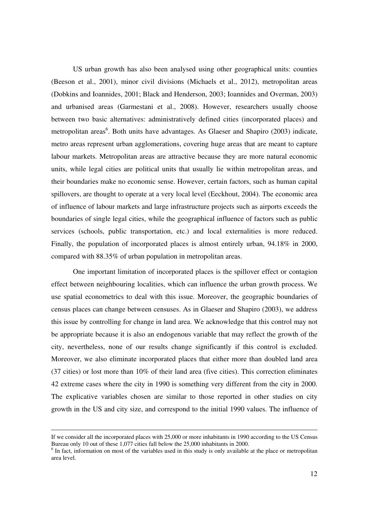US urban growth has also been analysed using other geographical units: counties (Beeson et al., 2001), minor civil divisions (Michaels et al., 2012), metropolitan areas (Dobkins and Ioannides, 2001; Black and Henderson, 2003; Ioannides and Overman, 2003) and urbanised areas (Garmestani et al., 2008). However, researchers usually choose between two basic alternatives: administratively defined cities (incorporated places) and metropolitan areas<sup>6</sup>. Both units have advantages. As Glaeser and Shapiro (2003) indicate, metro areas represent urban agglomerations, covering huge areas that are meant to capture labour markets. Metropolitan areas are attractive because they are more natural economic units, while legal cities are political units that usually lie within metropolitan areas, and their boundaries make no economic sense. However, certain factors, such as human capital spillovers, are thought to operate at a very local level (Eeckhout, 2004). The economic area of influence of labour markets and large infrastructure projects such as airports exceeds the boundaries of single legal cities, while the geographical influence of factors such as public services (schools, public transportation, etc.) and local externalities is more reduced. Finally, the population of incorporated places is almost entirely urban, 94.18% in 2000, compared with 88.35% of urban population in metropolitan areas.

One important limitation of incorporated places is the spillover effect or contagion effect between neighbouring localities, which can influence the urban growth process. We use spatial econometrics to deal with this issue. Moreover, the geographic boundaries of census places can change between censuses. As in Glaeser and Shapiro (2003), we address this issue by controlling for change in land area. We acknowledge that this control may not be appropriate because it is also an endogenous variable that may reflect the growth of the city, nevertheless, none of our results change significantly if this control is excluded. Moreover, we also eliminate incorporated places that either more than doubled land area (37 cities) or lost more than 10% of their land area (five cities). This correction eliminates 42 extreme cases where the city in 1990 is something very different from the city in 2000. The explicative variables chosen are similar to those reported in other studies on city growth in the US and city size, and correspond to the initial 1990 values. The influence of

 $\overline{a}$ 

If we consider all the incorporated places with 25,000 or more inhabitants in 1990 according to the US Census Bureau only 10 out of these 1,077 cities fall below the 25,000 inhabitants in 2000.

<sup>&</sup>lt;sup>6</sup> In fact, information on most of the variables used in this study is only available at the place or metropolitan area level.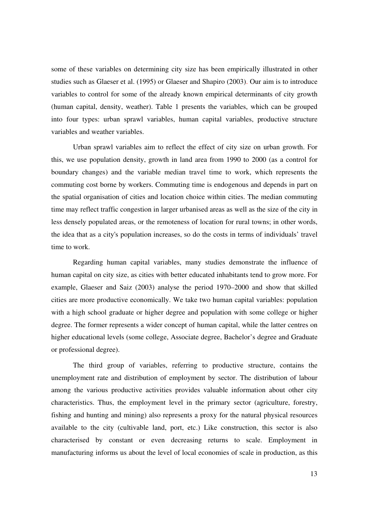some of these variables on determining city size has been empirically illustrated in other studies such as Glaeser et al. (1995) or Glaeser and Shapiro (2003). Our aim is to introduce variables to control for some of the already known empirical determinants of city growth (human capital, density, weather). Table 1 presents the variables, which can be grouped into four types: urban sprawl variables, human capital variables, productive structure variables and weather variables.

Urban sprawl variables aim to reflect the effect of city size on urban growth. For this, we use population density, growth in land area from 1990 to 2000 (as a control for boundary changes) and the variable median travel time to work, which represents the commuting cost borne by workers. Commuting time is endogenous and depends in part on the spatial organisation of cities and location choice within cities. The median commuting time may reflect traffic congestion in larger urbanised areas as well as the size of the city in less densely populated areas, or the remoteness of location for rural towns; in other words, the idea that as a city's population increases, so do the costs in terms of individuals' travel time to work.

Regarding human capital variables, many studies demonstrate the influence of human capital on city size, as cities with better educated inhabitants tend to grow more. For example, Glaeser and Saiz (2003) analyse the period 1970–2000 and show that skilled cities are more productive economically. We take two human capital variables: population with a high school graduate or higher degree and population with some college or higher degree. The former represents a wider concept of human capital, while the latter centres on higher educational levels (some college, Associate degree, Bachelor's degree and Graduate or professional degree).

The third group of variables, referring to productive structure, contains the unemployment rate and distribution of employment by sector. The distribution of labour among the various productive activities provides valuable information about other city characteristics. Thus, the employment level in the primary sector (agriculture, forestry, fishing and hunting and mining) also represents a proxy for the natural physical resources available to the city (cultivable land, port, etc.) Like construction, this sector is also characterised by constant or even decreasing returns to scale. Employment in manufacturing informs us about the level of local economies of scale in production, as this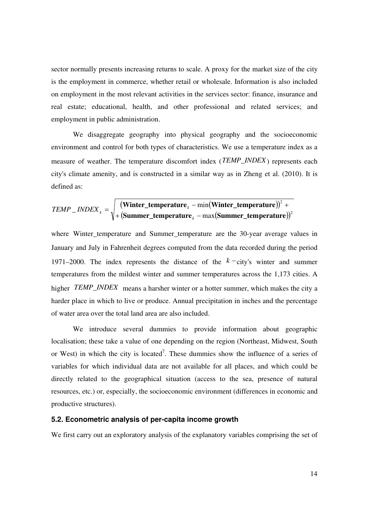sector normally presents increasing returns to scale. A proxy for the market size of the city is the employment in commerce, whether retail or wholesale. Information is also included on employment in the most relevant activities in the services sector: finance, insurance and real estate; educational, health, and other professional and related services; and employment in public administration.

We disaggregate geography into physical geography and the socioeconomic environment and control for both types of characteristics. We use a temperature index as a measure of weather. The temperature discomfort index (*TEMP*\_*INDEX*) represents each city's climate amenity, and is constructed in a similar way as in Zheng et al. (2010). It is defined as:

$$
TEMP\_INDEX_{k} = \sqrt{\frac{(\text{Winter\_temperature}_{k} - \min(\text{Winter\_temperature}))^{2} + (\text{Summer\_temperature}_{k} - \max(\text{Summer\_temperature}))^{2}}{(\text{Winner\_temperature}_{k} - \max(\text{Summer\_temperature}))^{2}}}
$$

where Winter\_temperature and Summer\_temperature are the 30-year average values in January and July in Fahrenheit degrees computed from the data recorded during the period 1971–2000. The index represents the distance of the *k* −city's winter and summer temperatures from the mildest winter and summer temperatures across the 1,173 cities. A higher *TEMP*\_*INDEX* means a harsher winter or a hotter summer, which makes the city a harder place in which to live or produce. Annual precipitation in inches and the percentage of water area over the total land area are also included.

We introduce several dummies to provide information about geographic localisation; these take a value of one depending on the region (Northeast, Midwest, South or West) in which the city is located<sup>7</sup>. These dummies show the influence of a series of variables for which individual data are not available for all places, and which could be directly related to the geographical situation (access to the sea, presence of natural resources, etc.) or, especially, the socioeconomic environment (differences in economic and productive structures).

#### **5.2. Econometric analysis of per-capita income growth**

We first carry out an exploratory analysis of the explanatory variables comprising the set of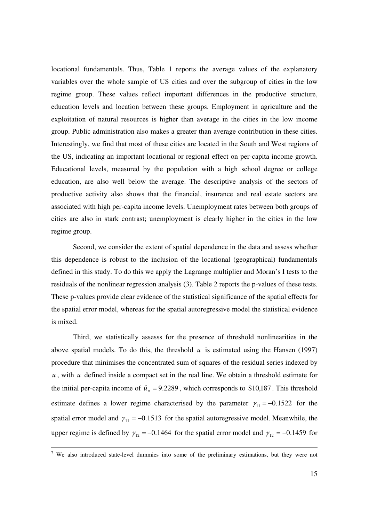locational fundamentals. Thus, Table 1 reports the average values of the explanatory variables over the whole sample of US cities and over the subgroup of cities in the low regime group. These values reflect important differences in the productive structure, education levels and location between these groups. Employment in agriculture and the exploitation of natural resources is higher than average in the cities in the low income group. Public administration also makes a greater than average contribution in these cities. Interestingly, we find that most of these cities are located in the South and West regions of the US, indicating an important locational or regional effect on per-capita income growth. Educational levels, measured by the population with a high school degree or college education, are also well below the average. The descriptive analysis of the sectors of productive activity also shows that the financial, insurance and real estate sectors are associated with high per-capita income levels. Unemployment rates between both groups of cities are also in stark contrast; unemployment is clearly higher in the cities in the low regime group.

Second, we consider the extent of spatial dependence in the data and assess whether this dependence is robust to the inclusion of the locational (geographical) fundamentals defined in this study. To do this we apply the Lagrange multiplier and Moran's I tests to the residuals of the nonlinear regression analysis (3). Table 2 reports the p-values of these tests. These p-values provide clear evidence of the statistical significance of the spatial effects for the spatial error model, whereas for the spatial autoregressive model the statistical evidence is mixed.

Third, we statistically assesss for the presence of threshold nonlinearities in the above spatial models. To do this, the threshold  $u$  is estimated using the Hansen (1997) procedure that minimises the concentrated sum of squares of the residual series indexed by *u* , with *u* defined inside a compact set in the real line. We obtain a threshold estimate for the initial per-capita income of  $\hat{u}_n = 9.2289$ , which corresponds to \$10,187. This threshold estimate defines a lower regime characterised by the parameter  $\gamma_{11} = -0.1522$  for the spatial error model and  $\gamma_{11} = -0.1513$  for the spatial autoregressive model. Meanwhile, the upper regime is defined by  $\gamma_{12} = -0.1464$  for the spatial error model and  $\gamma_{12} = -0.1459$  for

 7 We also introduced state-level dummies into some of the preliminary estimations, but they were not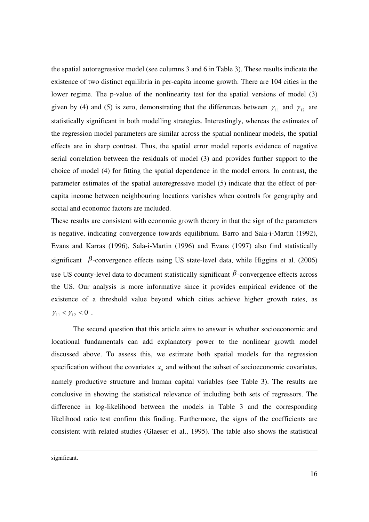the spatial autoregressive model (see columns 3 and 6 in Table 3). These results indicate the existence of two distinct equilibria in per-capita income growth. There are 104 cities in the lower regime. The p-value of the nonlinearity test for the spatial versions of model (3) given by (4) and (5) is zero, demonstrating that the differences between  $\gamma_{11}$  and  $\gamma_{12}$  are statistically significant in both modelling strategies. Interestingly, whereas the estimates of the regression model parameters are similar across the spatial nonlinear models, the spatial effects are in sharp contrast. Thus, the spatial error model reports evidence of negative serial correlation between the residuals of model (3) and provides further support to the choice of model (4) for fitting the spatial dependence in the model errors. In contrast, the parameter estimates of the spatial autoregressive model (5) indicate that the effect of percapita income between neighbouring locations vanishes when controls for geography and social and economic factors are included.

These results are consistent with economic growth theory in that the sign of the parameters is negative, indicating convergence towards equilibrium. Barro and Sala-i-Martin (1992), Evans and Karras (1996), Sala-i-Martin (1996) and Evans (1997) also find statistically significant  $\beta$ -convergence effects using US state-level data, while Higgins et al. (2006) use US county-level data to document statistically significant  $\beta$ -convergence effects across the US. Our analysis is more informative since it provides empirical evidence of the existence of a threshold value beyond which cities achieve higher growth rates, as  $\gamma_{11} < \gamma_{12} < 0$ .

The second question that this article aims to answer is whether socioeconomic and locational fundamentals can add explanatory power to the nonlinear growth model discussed above. To assess this, we estimate both spatial models for the regression specification without the covariates  $x<sub>o</sub>$  and without the subset of socioeconomic covariates, namely productive structure and human capital variables (see Table 3). The results are conclusive in showing the statistical relevance of including both sets of regressors. The difference in log-likelihood between the models in Table 3 and the corresponding likelihood ratio test confirm this finding. Furthermore, the signs of the coefficients are consistent with related studies (Glaeser et al., 1995). The table also shows the statistical

significant.

 $\overline{a}$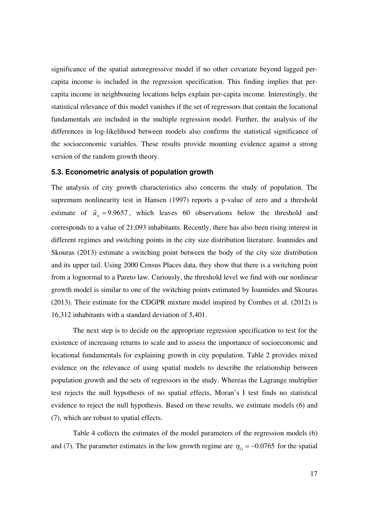significance of the spatial autoregressive model if no other covariate beyond lagged percapita income is included in the regression specification. This finding implies that percapita income in neighbouring locations helps explain per-capita income. Interestingly, the statistical relevance of this model vanishes if the set of regressors that contain the locational fundamentals are included in the multiple regression model. Further, the analysis of the differences in log-likelihood between models also confirms the statistical significance of the socioeconomic variables. These results provide mounting evidence against a strong version of the random growth theory.

#### **5.3. Econometric analysis of population growth**

The analysis of city growth characteristics also concerns the study of population. The supremum nonlinearity test in Hansen (1997) reports a p-value of zero and a threshold estimate of  $\hat{u}_n = 9.9657$ , which leaves 60 observations below the threshold and corresponds to a value of 21,093 inhabitants. Recently, there has also been rising interest in different regimes and switching points in the city size distribution literature. Ioannides and Skouras (2013) estimate a switching point between the body of the city size distribution and its upper tail. Using 2000 Census Places data, they show that there is a switching point from a lognormal to a Pareto law. Curiously, the threshold level we find with our nonlinear growth model is similar to one of the switching points estimated by Ioannides and Skouras (2013). Their estimate for the CDGPR mixture model inspired by Combes et al. (2012) is 16,312 inhabitants with a standard deviation of 5,401.

The next step is to decide on the appropriate regression specification to test for the existence of increasing returns to scale and to assess the importance of socioeconomic and locational fundamentals for explaining growth in city population. Table 2 provides mixed evidence on the relevance of using spatial models to describe the relationship between population growth and the sets of regressors in the study. Whereas the Lagrange multiplier test rejects the null hypothesis of no spatial effects, Moran's I test finds no statistical evidence to reject the null hypothesis. Based on these results, we estimate models (6) and (7), which are robust to spatial effects.

Table 4 collects the estimates of the model parameters of the regression models (6) and (7). The parameter estimates in the low growth regime are  $\eta_{11} = -0.0765$  for the spatial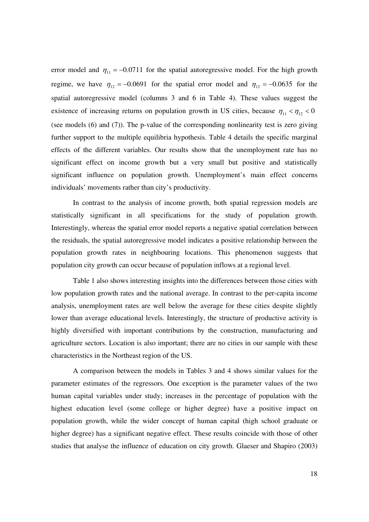error model and  $\eta_{11} = -0.0711$  for the spatial autoregressive model. For the high growth regime, we have  $\eta_{12} = -0.0691$  for the spatial error model and  $\eta_{12} = -0.0635$  for the spatial autoregressive model (columns 3 and 6 in Table 4). These values suggest the existence of increasing returns on population growth in US cities, because  $\eta_{11} < \eta_{12} < 0$ (see models (6) and (7)). The p-value of the corresponding nonlinearity test is zero giving further support to the multiple equilibria hypothesis. Table 4 details the specific marginal effects of the different variables. Our results show that the unemployment rate has no significant effect on income growth but a very small but positive and statistically significant influence on population growth. Unemployment's main effect concerns individuals' movements rather than city's productivity.

In contrast to the analysis of income growth, both spatial regression models are statistically significant in all specifications for the study of population growth. Interestingly, whereas the spatial error model reports a negative spatial correlation between the residuals, the spatial autoregressive model indicates a positive relationship between the population growth rates in neighbouring locations. This phenomenon suggests that population city growth can occur because of population inflows at a regional level.

Table 1 also shows interesting insights into the differences between those cities with low population growth rates and the national average. In contrast to the per-capita income analysis, unemployment rates are well below the average for these cities despite slightly lower than average educational levels. Interestingly, the structure of productive activity is highly diversified with important contributions by the construction, manufacturing and agriculture sectors. Location is also important; there are no cities in our sample with these characteristics in the Northeast region of the US.

A comparison between the models in Tables 3 and 4 shows similar values for the parameter estimates of the regressors. One exception is the parameter values of the two human capital variables under study; increases in the percentage of population with the highest education level (some college or higher degree) have a positive impact on population growth, while the wider concept of human capital (high school graduate or higher degree) has a significant negative effect. These results coincide with those of other studies that analyse the influence of education on city growth. Glaeser and Shapiro (2003)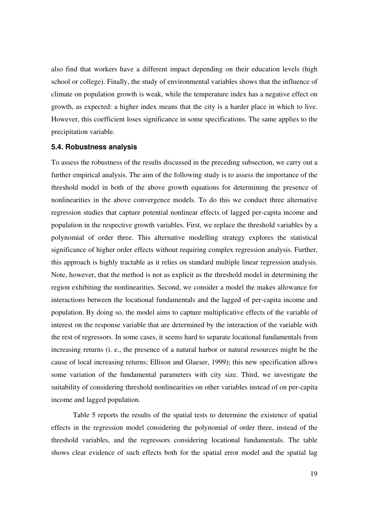also find that workers have a different impact depending on their education levels (high school or college). Finally, the study of environmental variables shows that the influence of climate on population growth is weak, while the temperature index has a negative effect on growth, as expected: a higher index means that the city is a harder place in which to live. However, this coefficient loses significance in some specifications. The same applies to the precipitation variable.

#### **5.4. Robustness analysis**

To assess the robustness of the results discussed in the preceding subsection, we carry out a further empirical analysis. The aim of the following study is to assess the importance of the threshold model in both of the above growth equations for determining the presence of nonlinearities in the above convergence models. To do this we conduct three alternative regression studies that capture potential nonlinear effects of lagged per-capita income and population in the respective growth variables. First, we replace the threshold variables by a polynomial of order three. This alternative modelling strategy explores the statistical significance of higher order effects without requiring complex regression analysis. Further, this approach is highly tractable as it relies on standard multiple linear regression analysis. Note, however, that the method is not as explicit as the threshold model in determining the region exhibiting the nonlinearities. Second, we consider a model the makes allowance for interactions between the locational fundamentals and the lagged of per-capita income and population. By doing so, the model aims to capture multiplicative effects of the variable of interest on the response variable that are determined by the interaction of the variable with the rest of regressors. In some cases, it seems hard to separate locational fundamentals from increasing returns (i. e., the presence of a natural harbor or natural resources might be the cause of local increasing returns; Ellison and Glaeser, 1999); this new specification allows some variation of the fundamental parameters with city size. Third, we investigate the suitability of considering threshold nonlinearities on other variables instead of on per-capita income and lagged population.

 Table 5 reports the results of the spatial tests to determine the existence of spatial effects in the regression model considering the polynomial of order three, instead of the threshold variables, and the regressors considering locational fundamentals. The table shows clear evidence of such effects both for the spatial error model and the spatial lag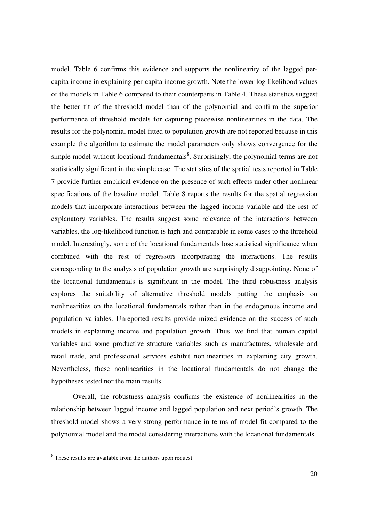model. Table 6 confirms this evidence and supports the nonlinearity of the lagged percapita income in explaining per-capita income growth. Note the lower log-likelihood values of the models in Table 6 compared to their counterparts in Table 4. These statistics suggest the better fit of the threshold model than of the polynomial and confirm the superior performance of threshold models for capturing piecewise nonlinearities in the data. The results for the polynomial model fitted to population growth are not reported because in this example the algorithm to estimate the model parameters only shows convergence for the simple model without locational fundamentals $\delta$ . Surprisingly, the polynomial terms are not statistically significant in the simple case. The statistics of the spatial tests reported in Table 7 provide further empirical evidence on the presence of such effects under other nonlinear specifications of the baseline model. Table 8 reports the results for the spatial regression models that incorporate interactions between the lagged income variable and the rest of explanatory variables. The results suggest some relevance of the interactions between variables, the log-likelihood function is high and comparable in some cases to the threshold model. Interestingly, some of the locational fundamentals lose statistical significance when combined with the rest of regressors incorporating the interactions. The results corresponding to the analysis of population growth are surprisingly disappointing. None of the locational fundamentals is significant in the model. The third robustness analysis explores the suitability of alternative threshold models putting the emphasis on nonlinearities on the locational fundamentals rather than in the endogenous income and population variables. Unreported results provide mixed evidence on the success of such models in explaining income and population growth. Thus, we find that human capital variables and some productive structure variables such as manufactures, wholesale and retail trade, and professional services exhibit nonlinearities in explaining city growth. Nevertheless, these nonlinearities in the locational fundamentals do not change the hypotheses tested nor the main results.

Overall, the robustness analysis confirms the existence of nonlinearities in the relationship between lagged income and lagged population and next period's growth. The threshold model shows a very strong performance in terms of model fit compared to the polynomial model and the model considering interactions with the locational fundamentals.

-

<sup>&</sup>lt;sup>8</sup> These results are available from the authors upon request.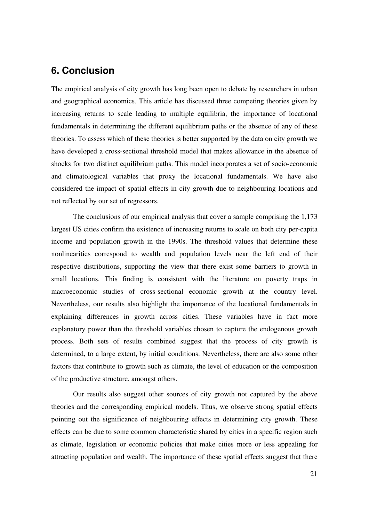## **6. Conclusion**

The empirical analysis of city growth has long been open to debate by researchers in urban and geographical economics. This article has discussed three competing theories given by increasing returns to scale leading to multiple equilibria, the importance of locational fundamentals in determining the different equilibrium paths or the absence of any of these theories. To assess which of these theories is better supported by the data on city growth we have developed a cross-sectional threshold model that makes allowance in the absence of shocks for two distinct equilibrium paths. This model incorporates a set of socio-economic and climatological variables that proxy the locational fundamentals. We have also considered the impact of spatial effects in city growth due to neighbouring locations and not reflected by our set of regressors.

The conclusions of our empirical analysis that cover a sample comprising the 1,173 largest US cities confirm the existence of increasing returns to scale on both city per-capita income and population growth in the 1990s. The threshold values that determine these nonlinearities correspond to wealth and population levels near the left end of their respective distributions, supporting the view that there exist some barriers to growth in small locations. This finding is consistent with the literature on poverty traps in macroeconomic studies of cross-sectional economic growth at the country level. Nevertheless, our results also highlight the importance of the locational fundamentals in explaining differences in growth across cities. These variables have in fact more explanatory power than the threshold variables chosen to capture the endogenous growth process. Both sets of results combined suggest that the process of city growth is determined, to a large extent, by initial conditions. Nevertheless, there are also some other factors that contribute to growth such as climate, the level of education or the composition of the productive structure, amongst others.

Our results also suggest other sources of city growth not captured by the above theories and the corresponding empirical models. Thus, we observe strong spatial effects pointing out the significance of neighbouring effects in determining city growth. These effects can be due to some common characteristic shared by cities in a specific region such as climate, legislation or economic policies that make cities more or less appealing for attracting population and wealth. The importance of these spatial effects suggest that there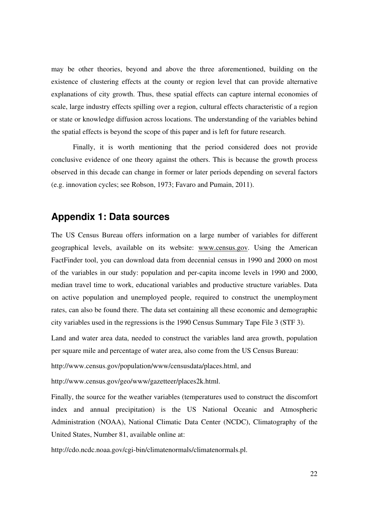may be other theories, beyond and above the three aforementioned, building on the existence of clustering effects at the county or region level that can provide alternative explanations of city growth. Thus, these spatial effects can capture internal economies of scale, large industry effects spilling over a region, cultural effects characteristic of a region or state or knowledge diffusion across locations. The understanding of the variables behind the spatial effects is beyond the scope of this paper and is left for future research.

 Finally, it is worth mentioning that the period considered does not provide conclusive evidence of one theory against the others. This is because the growth process observed in this decade can change in former or later periods depending on several factors (e.g. innovation cycles; see Robson, 1973; Favaro and Pumain, 2011).

## **Appendix 1: Data sources**

The US Census Bureau offers information on a large number of variables for different geographical levels, available on its website: www.census.gov. Using the American FactFinder tool, you can download data from decennial census in 1990 and 2000 on most of the variables in our study: population and per-capita income levels in 1990 and 2000, median travel time to work, educational variables and productive structure variables. Data on active population and unemployed people, required to construct the unemployment rates, can also be found there. The data set containing all these economic and demographic city variables used in the regressions is the 1990 Census Summary Tape File 3 (STF 3).

Land and water area data, needed to construct the variables land area growth, population per square mile and percentage of water area, also come from the US Census Bureau:

http://www.census.gov/population/www/censusdata/places.html, and

http://www.census.gov/geo/www/gazetteer/places2k.html.

Finally, the source for the weather variables (temperatures used to construct the discomfort index and annual precipitation) is the US National Oceanic and Atmospheric Administration (NOAA), National Climatic Data Center (NCDC), Climatography of the United States, Number 81, available online at:

http://cdo.ncdc.noaa.gov/cgi-bin/climatenormals/climatenormals.pl.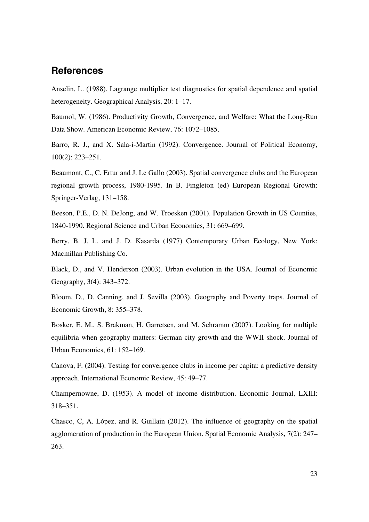## **References**

Anselin, L. (1988). Lagrange multiplier test diagnostics for spatial dependence and spatial heterogeneity. Geographical Analysis, 20: 1–17.

Baumol, W. (1986). Productivity Growth, Convergence, and Welfare: What the Long-Run Data Show. American Economic Review, 76: 1072–1085.

Barro, R. J., and X. Sala-i-Martin (1992). Convergence. Journal of Political Economy, 100(2): 223–251.

Beaumont, C., C. Ertur and J. Le Gallo (2003). Spatial convergence clubs and the European regional growth process, 1980-1995. In B. Fingleton (ed) European Regional Growth: Springer-Verlag, 131–158.

Beeson, P.E., D. N. DeJong, and W. Troesken (2001). Population Growth in US Counties, 1840-1990. Regional Science and Urban Economics, 31: 669–699.

Berry, B. J. L. and J. D. Kasarda (1977) Contemporary Urban Ecology, New York: Macmillan Publishing Co.

Black, D., and V. Henderson (2003). Urban evolution in the USA. Journal of Economic Geography, 3(4): 343–372.

Bloom, D., D. Canning, and J. Sevilla (2003). Geography and Poverty traps. Journal of Economic Growth, 8: 355–378.

Bosker, E. M., S. Brakman, H. Garretsen, and M. Schramm (2007). Looking for multiple equilibria when geography matters: German city growth and the WWII shock. Journal of Urban Economics, 61: 152–169.

Canova, F. (2004). Testing for convergence clubs in income per capita: a predictive density approach. International Economic Review, 45: 49–77.

Champernowne, D. (1953). A model of income distribution. Economic Journal, LXIII: 318–351.

Chasco, C, A. López, and R. Guillain (2012). The influence of geography on the spatial agglomeration of production in the European Union. Spatial Economic Analysis, 7(2): 247– 263.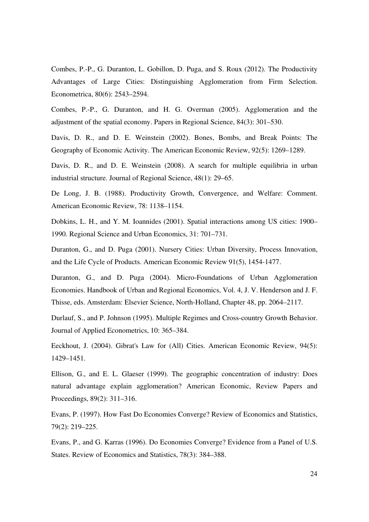Combes, P.-P., G. Duranton, L. Gobillon, D. Puga, and S. Roux (2012). The Productivity Advantages of Large Cities: Distinguishing Agglomeration from Firm Selection. Econometrica, 80(6): 2543–2594.

Combes, P.-P., G. Duranton, and H. G. Overman (2005). Agglomeration and the adjustment of the spatial economy. Papers in Regional Science, 84(3): 301–530.

Davis, D. R., and D. E. Weinstein (2002). Bones, Bombs, and Break Points: The Geography of Economic Activity. The American Economic Review, 92(5): 1269–1289.

Davis, D. R., and D. E. Weinstein (2008). A search for multiple equilibria in urban industrial structure. Journal of Regional Science, 48(1): 29–65.

De Long, J. B. (1988). Productivity Growth, Convergence, and Welfare: Comment. American Economic Review, 78: 1138–1154.

Dobkins, L. H., and Y. M. Ioannides (2001). Spatial interactions among US cities: 1900– 1990. Regional Science and Urban Economics, 31: 701–731.

Duranton, G., and D. Puga (2001). Nursery Cities: Urban Diversity, Process Innovation, and the Life Cycle of Products. American Economic Review 91(5), 1454-1477.

Duranton, G., and D. Puga (2004). Micro-Foundations of Urban Agglomeration Economies. Handbook of Urban and Regional Economics, Vol. 4, J. V. Henderson and J. F. Thisse, eds. Amsterdam: Elsevier Science, North-Holland, Chapter 48, pp. 2064–2117.

Durlauf, S., and P. Johnson (1995). Multiple Regimes and Cross-country Growth Behavior. Journal of Applied Econometrics, 10: 365–384.

Eeckhout, J. (2004). Gibrat's Law for (All) Cities. American Economic Review, 94(5): 1429–1451.

Ellison, G., and E. L. Glaeser (1999). The geographic concentration of industry: Does natural advantage explain agglomeration? American Economic, Review Papers and Proceedings, 89(2): 311–316.

Evans, P. (1997). How Fast Do Economies Converge? Review of Economics and Statistics, 79(2): 219–225.

Evans, P., and G. Karras (1996). Do Economies Converge? Evidence from a Panel of U.S. States. Review of Economics and Statistics, 78(3): 384–388.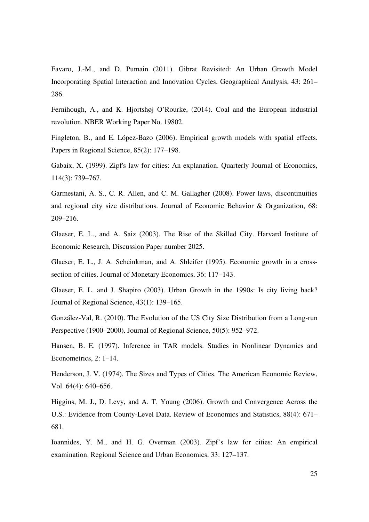Favaro, J.-M., and D. Pumain (2011). Gibrat Revisited: An Urban Growth Model Incorporating Spatial Interaction and Innovation Cycles. Geographical Analysis, 43: 261– 286.

Fernihough, A., and K. Hjortshøj O'Rourke, (2014). Coal and the European industrial revolution. NBER Working Paper No. 19802.

Fingleton, B., and E. López-Bazo (2006). Empirical growth models with spatial effects. Papers in Regional Science, 85(2): 177–198.

Gabaix, X. (1999). Zipf's law for cities: An explanation. Quarterly Journal of Economics, 114(3): 739–767.

Garmestani, A. S., C. R. Allen, and C. M. Gallagher (2008). Power laws, discontinuities and regional city size distributions. Journal of Economic Behavior & Organization, 68: 209–216.

Glaeser, E. L., and A. Saiz (2003). The Rise of the Skilled City. Harvard Institute of Economic Research, Discussion Paper number 2025.

Glaeser, E. L., J. A. Scheinkman, and A. Shleifer (1995). Economic growth in a crosssection of cities. Journal of Monetary Economics, 36: 117–143.

Glaeser, E. L. and J. Shapiro (2003). Urban Growth in the 1990s: Is city living back? Journal of Regional Science, 43(1): 139–165.

González-Val, R. (2010). The Evolution of the US City Size Distribution from a Long-run Perspective (1900–2000). Journal of Regional Science, 50(5): 952–972.

Hansen, B. E. (1997). Inference in TAR models. Studies in Nonlinear Dynamics and Econometrics, 2: 1–14.

Henderson, J. V. (1974). The Sizes and Types of Cities. The American Economic Review, Vol. 64(4): 640–656.

Higgins, M. J., D. Levy, and A. T. Young (2006). Growth and Convergence Across the U.S.: Evidence from County-Level Data. Review of Economics and Statistics, 88(4): 671– 681.

Ioannides, Y. M., and H. G. Overman (2003). Zipf's law for cities: An empirical examination. Regional Science and Urban Economics, 33: 127–137.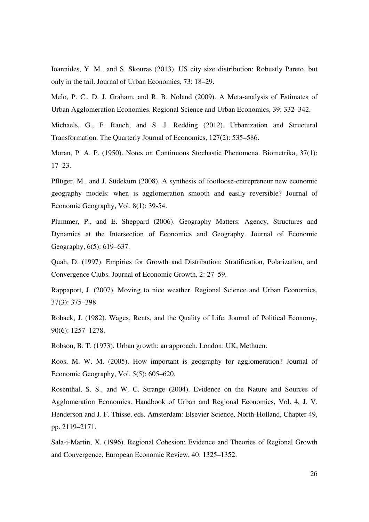Ioannides, Y. M., and S. Skouras (2013). US city size distribution: Robustly Pareto, but only in the tail. Journal of Urban Economics, 73: 18–29.

Melo, P. C., D. J. Graham, and R. B. Noland (2009). A Meta-analysis of Estimates of Urban Agglomeration Economies. Regional Science and Urban Economics, 39: 332–342.

Michaels, G., F. Rauch, and S. J. Redding (2012). Urbanization and Structural Transformation. The Quarterly Journal of Economics, 127(2): 535–586.

Moran, P. A. P. (1950). Notes on Continuous Stochastic Phenomena. Biometrika, 37(1): 17–23.

Pflüger, M., and J. Südekum (2008). A synthesis of footloose-entrepreneur new economic geography models: when is agglomeration smooth and easily reversible? Journal of Economic Geography, Vol. 8(1): 39-54.

Plummer, P., and E. Sheppard (2006). Geography Matters: Agency, Structures and Dynamics at the Intersection of Economics and Geography. Journal of Economic Geography, 6(5): 619–637.

Quah, D. (1997). Empirics for Growth and Distribution: Stratification, Polarization, and Convergence Clubs. Journal of Economic Growth, 2: 27–59.

Rappaport, J. (2007). Moving to nice weather. Regional Science and Urban Economics, 37(3): 375–398.

Roback, J. (1982). Wages, Rents, and the Quality of Life. Journal of Political Economy, 90(6): 1257–1278.

Robson, B. T. (1973). Urban growth: an approach. London: UK, Methuen.

Roos, M. W. M. (2005). How important is geography for agglomeration? Journal of Economic Geography, Vol. 5(5): 605–620.

Rosenthal, S. S., and W. C. Strange (2004). Evidence on the Nature and Sources of Agglomeration Economies. Handbook of Urban and Regional Economics, Vol. 4, J. V. Henderson and J. F. Thisse, eds. Amsterdam: Elsevier Science, North-Holland, Chapter 49, pp. 2119–2171.

Sala-i-Martin, X. (1996). Regional Cohesion: Evidence and Theories of Regional Growth and Convergence. European Economic Review, 40: 1325–1352.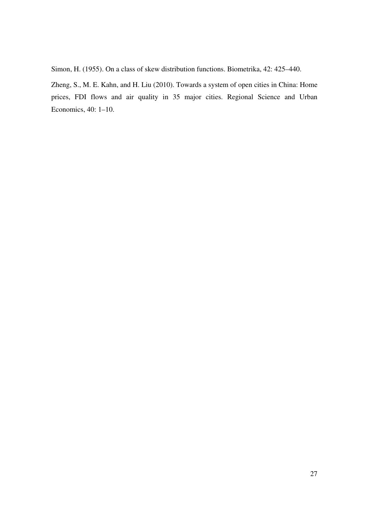Simon, H. (1955). On a class of skew distribution functions. Biometrika, 42: 425–440.

Zheng, S., M. E. Kahn, and H. Liu (2010). Towards a system of open cities in China: Home prices, FDI flows and air quality in 35 major cities. Regional Science and Urban Economics, 40: 1–10.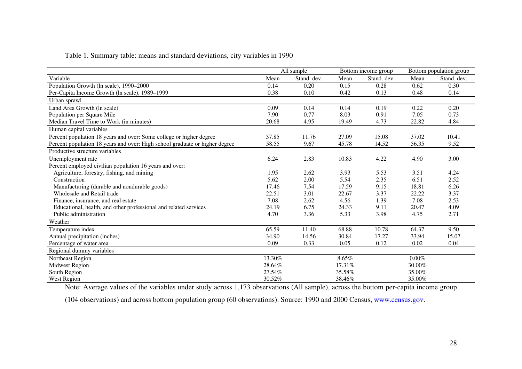| Table 1. Summary table: means and standard deviations, city variables in 1990 |  |  |  |
|-------------------------------------------------------------------------------|--|--|--|
|                                                                               |  |  |  |

|                                                                             |        | All sample  |        | Bottom income group | Bottom population group |             |
|-----------------------------------------------------------------------------|--------|-------------|--------|---------------------|-------------------------|-------------|
| Variable                                                                    | Mean   | Stand. dev. | Mean   | Stand. dev.         | Mean                    | Stand. dev. |
| Population Growth (ln scale), 1990-2000                                     | 0.14   | 0.20        | 0.15   | 0.28                | 0.62                    | 0.30        |
| Per-Capita Income Growth (ln scale), 1989-1999                              | 0.38   | 0.10        | 0.42   | 0.13                | 0.48                    | 0.14        |
| Urban sprawl                                                                |        |             |        |                     |                         |             |
| Land Area Growth (ln scale)                                                 | 0.09   | 0.14        | 0.14   | 0.19                | 0.22                    | 0.20        |
| Population per Square Mile                                                  | 7.90   | 0.77        | 8.03   | 0.91                | 7.05                    | 0.73        |
| Median Travel Time to Work (in minutes)                                     | 20.68  | 4.95        | 19.49  | 4.73                | 22.82                   | 4.84        |
| Human capital variables                                                     |        |             |        |                     |                         |             |
| Percent population 18 years and over: Some college or higher degree         | 37.85  | 11.76       | 27.09  | 15.08               | 37.02                   | 10.41       |
| Percent population 18 years and over: High school graduate or higher degree | 58.55  | 9.67        | 45.78  | 14.52               | 56.35                   | 9.52        |
| Productive structure variables                                              |        |             |        |                     |                         |             |
| Unemployment rate                                                           | 6.24   | 2.83        | 10.83  | 4.22                | 4.90                    | 3.00        |
| Percent employed civilian population 16 years and over:                     |        |             |        |                     |                         |             |
| Agriculture, forestry, fishing, and mining                                  | 1.95   | 2.62        | 3.93   | 5.53                | 3.51                    | 4.24        |
| Construction                                                                | 5.62   | 2.00        | 5.54   | 2.35                | 6.51                    | 2.52        |
| Manufacturing (durable and nondurable goods)                                | 17.46  | 7.54        | 17.59  | 9.15                | 18.81                   | 6.26        |
| Wholesale and Retail trade                                                  | 22.51  | 3.01        | 22.67  | 3.37                | 22.22                   | 3.37        |
| Finance, insurance, and real estate                                         | 7.08   | 2.62        | 4.56   | 1.39                | 7.08                    | 2.53        |
| Educational, health, and other professional and related services            | 24.19  | 6.75        | 24.33  | 9.11                | 20.47                   | 4.09        |
| Public administration                                                       | 4.70   | 3.36        | 5.33   | 3.98                | 4.75                    | 2.71        |
| Weather                                                                     |        |             |        |                     |                         |             |
| Temperature index                                                           | 65.59  | 11.40       | 68.88  | 10.78               | 64.37                   | 9.50        |
| Annual precipitation (inches)                                               | 34.90  | 14.56       | 30.84  | 17.27               | 33.94                   | 15.07       |
| Percentage of water area                                                    | 0.09   | 0.33        | 0.05   | 0.12                | 0.02                    | 0.04        |
| Regional dummy variables                                                    |        |             |        |                     |                         |             |
| Northeast Region                                                            | 13.30% |             | 8.65%  |                     | $0.00\%$                |             |
| <b>Midwest Region</b>                                                       | 28.64% |             | 17.31% |                     | 30.00%                  |             |
| South Region                                                                | 27.54% |             | 35.58% |                     | 35.00%                  |             |
| West Region                                                                 | 30.52% |             | 38.46% |                     | 35.00%                  |             |

Note: Average values of the variables under study across 1,173 observations (All sample), across the bottom per-capita income group

(104 observations) and across bottom population group (60 observations). Source: 1990 and 2000 Census, www.census.gov.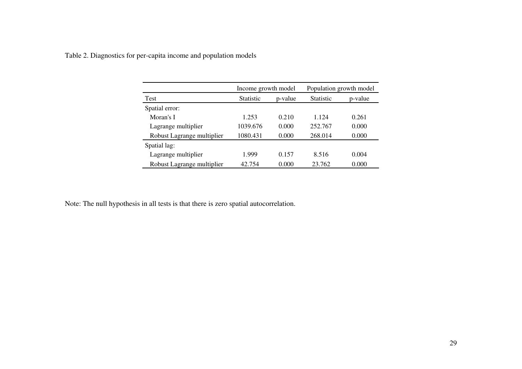|                            | Income growth model |         | Population growth model |         |  |
|----------------------------|---------------------|---------|-------------------------|---------|--|
| <b>Test</b>                | <b>Statistic</b>    | p-value | <b>Statistic</b>        | p-value |  |
| Spatial error:             |                     |         |                         |         |  |
| Moran's I                  | 1.253               | 0.210   | 1.124                   | 0.261   |  |
| Lagrange multiplier        | 1039.676            | 0.000   | 252.767                 | 0.000   |  |
| Robust Lagrange multiplier | 1080.431            | 0.000   | 268.014                 | 0.000   |  |
| Spatial lag:               |                     |         |                         |         |  |
| Lagrange multiplier        | 1.999               | 0.157   | 8.516                   | 0.004   |  |
| Robust Lagrange multiplier | 42.754              | 0.000   | 23.762                  | 0.000   |  |

Table 2. Diagnostics for per-capita income and population models

Note: The null hypothesis in all tests is that there is zero spatial autocorrelation.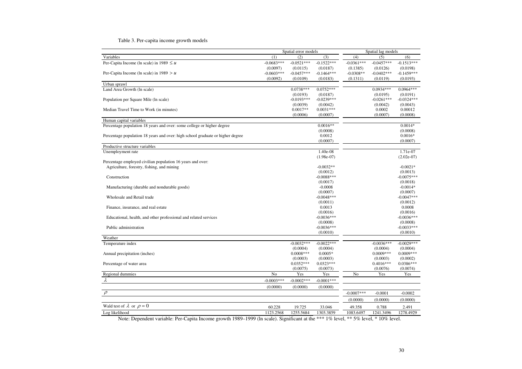#### Table 3. Per-capita income growth models

|                                                                                                          | Spatial error models |                         |                         |               | Spatial lag models      |                         |
|----------------------------------------------------------------------------------------------------------|----------------------|-------------------------|-------------------------|---------------|-------------------------|-------------------------|
| Variables                                                                                                | (1)                  | (2)                     | (3)                     | (4)           | (5)                     | (6)                     |
| Per-Capita Income (ln scale) in 1989 $\leq u$                                                            | $-0.0683***$         | $-0.0521***$            | $-0.1522***$            | $-0.0361***$  | $-0.0457***$            | $-0.1513***$            |
|                                                                                                          | (0.0097)             | (0.0115)                | (0.0187)                | (0.1385)      | (0.0126)                | (0.0198)                |
| Per-Capita Income (ln scale) in $1989 > u$                                                               | $-0.0603***$         | $-0.0457***$            | $-0.1464***$            | $-0.0308**$   | $-0.0402***$            | $-0.1459***$            |
|                                                                                                          | (0.0092)             | (0.0109)                | (0.0183)                | (0.1311)      | (0.0119)                | (0.0193)                |
| Urban sprawl                                                                                             |                      |                         |                         |               |                         |                         |
| Land Area Growth (ln scale)                                                                              |                      | $0.0738***$             | $0.0752***$             |               | $0.0934***$             | $0.0964***$             |
|                                                                                                          |                      | (0.0193)                | (0.0187)                |               | (0.0195)                | (0.0191)                |
| Population per Square Mile (ln scale)                                                                    |                      | $-0.0193***$            | $-0.0239***$            |               | $-0.0261***$            | $-0.0324***$            |
|                                                                                                          |                      | (0.0039)                | (0.0042)                |               | (0.0042)                | (0.0043)                |
| Median Travel Time to Work (in minutes)                                                                  |                      | $0.0017**$              | $0.0031***$             |               | 0.0002                  | 0.00012                 |
|                                                                                                          |                      | (0.0006)                | (0.0007)                |               | (0.0007)                | (0.0008)                |
| Human capital variables                                                                                  |                      |                         |                         |               |                         |                         |
| Percentage population 18 years and over: some college or higher degree                                   |                      |                         | $0.0016**$              |               |                         | $0.0014*$               |
|                                                                                                          |                      |                         | (0.0008)                |               |                         | (0.0008)                |
| Percentage population 18 years and over: high school graduate or higher degree                           |                      |                         | 0.0012                  |               |                         | $0.0016*$               |
|                                                                                                          |                      |                         | (0.0007)                |               |                         | (0.0007)                |
| Productive structure variables                                                                           |                      |                         |                         |               |                         |                         |
| Unemployment rate                                                                                        |                      |                         | 1.40e-08                |               |                         | 1.71e-07                |
|                                                                                                          |                      |                         | $(1.98e-07)$            |               |                         | $(2.02e-07)$            |
| Percentage employed civilian population 16 years and over:<br>Agriculture, forestry, fishing, and mining |                      |                         | $-0.0032**$             |               |                         | $-0.0021*$              |
|                                                                                                          |                      |                         | (0.0012)                |               |                         | (0.0013)                |
| Construction                                                                                             |                      |                         | $-0.0088***$            |               |                         | $-0.0075***$            |
|                                                                                                          |                      |                         | (0.0017)                |               |                         | (0.0018)                |
| Manufacturing (durable and nondurable goods)                                                             |                      |                         | $-0.0008$               |               |                         | $-0.0014*$              |
|                                                                                                          |                      |                         | (0.0007)                |               |                         | (0.0007)                |
| Wholesale and Retail trade                                                                               |                      |                         | $-0.0048***$            |               |                         | $-0.0047***$            |
|                                                                                                          |                      |                         | (0.0011)                |               |                         | (0.0012)                |
| Finance, insurance, and real estate                                                                      |                      |                         | 0.0013                  |               |                         | 0.0008                  |
|                                                                                                          |                      |                         | (0.0016)                |               |                         | (0.0016)                |
| Educational, health, and other professional and related services                                         |                      |                         | $-0.0036***$            |               |                         | $-0.0036***$            |
|                                                                                                          |                      |                         | (0.0008)                |               |                         | (0.0008)                |
| Public administration                                                                                    |                      |                         | $-0.0036***$            |               |                         | $-0.0033***$            |
|                                                                                                          |                      |                         | (0.0010)                |               |                         | (0.0010)                |
| Weather                                                                                                  |                      |                         |                         |               |                         |                         |
| Temperature index                                                                                        |                      | $-0.0032***$            | $-0.0022***$            |               | $-0.0036***$            | $-0.0029***$            |
|                                                                                                          |                      | (0.0004)<br>$0.0008***$ | (0.0004)                |               | (0.0004)<br>$0.0009***$ | (0.0004)<br>$0.0009***$ |
| Annual precipitation (inches)                                                                            |                      |                         | $0.0005*$               |               |                         |                         |
| Percentage of water area                                                                                 |                      | (0.0003)<br>$0.0352***$ | (0.0003)<br>$0.0323***$ |               | (0.0003)<br>$0.4016***$ | (0.0002)<br>0.0386***   |
|                                                                                                          |                      | (0.0075)                | (0.0073)                |               | (0.0076)                | (0.0074)                |
| Regional dummies                                                                                         | No                   | Yes                     | Yes                     | No            | Yes                     | Yes                     |
|                                                                                                          |                      |                         |                         |               |                         |                         |
| $\lambda$                                                                                                | $-0.0003***$         | $-0.0002***$            | $-0.0001***$            |               |                         |                         |
|                                                                                                          | (0.0000)             | (0.0000)                | (0.0000)                |               |                         |                         |
| $\rho$                                                                                                   |                      |                         |                         | $-0.0007$ *** | $-0.0001$               | $-0.0002$               |
|                                                                                                          |                      |                         |                         | (0.0000)      | (0.0000)                | (0.0000)                |
| Wald test of $\lambda$ or $\rho = 0$                                                                     | 60.228               | 19.725                  | 33.046                  | 49.358        | 0.788                   | 2.491                   |
|                                                                                                          |                      |                         |                         |               |                         | 1278.4929               |
| Log likelihood                                                                                           | 1123.2568            | 1255.5684               | 1303.3859               | 1083.6497     | 1241.3496               |                         |

Note: Dependent variable: Per-Capita Income growth 1989–1999 (ln scale). Significant at the \*\*\* 1% level, \*\* 5% level, \* 10% level.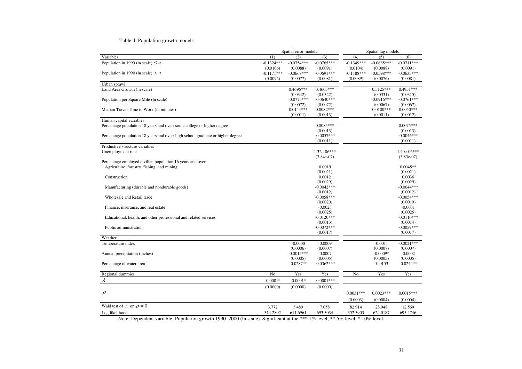Table 4. Population growth models

|                                                                                |              | Spatial error models     |                          |              | Spatial lag models     |                         |  |
|--------------------------------------------------------------------------------|--------------|--------------------------|--------------------------|--------------|------------------------|-------------------------|--|
| Variables                                                                      | (1)          | (2)                      | (3)                      | (4)          | (5)                    | (6)                     |  |
| Population in 1990 (ln scale) $\leq u$                                         | $-0.1324***$ | $-0.0754***$             | $-0.0765***$             | $-0.1349***$ | $-0.0685***$           | $-0.0711***$            |  |
|                                                                                | (0.0106)     | (0.0088)                 | (0.0091)                 | (0.0104)     | (0.0088)               | (0.0091)                |  |
| Population in 1990 (ln scale) $> u$                                            | $-0.1171***$ | $-0.0668***$             | $-0.0691***$             | $-0.1188***$ | $-0.0598***$           | $-0.0635***$            |  |
|                                                                                | (0.0092)     | (0.0077)                 | (0.0081)                 | (0.0089)     | (0.0076)               | (0.0081)                |  |
| Urban sprawl                                                                   |              |                          |                          |              |                        |                         |  |
| Land Area Growth (ln scale)                                                    |              | $0.4696***$              | $0.4605***$              |              | $0.5125***$            | $0.4951***$             |  |
|                                                                                |              | (0.0342)                 | (0.0322)                 |              | (0.0331)               | (0.0315)                |  |
| Population per Square Mile (ln scale)                                          |              | $-0.0775***$             | $-0.0640***$             |              | $-0.0916***$           | $-0.0761***$            |  |
|                                                                                |              | (0.0072)                 | (0.0072)                 |              | (0.0067)               | (0.0067)                |  |
| Median Travel Time to Work (in minutes)                                        |              | $0.0144***$              | $0.0082***$              |              | $0.0100***$            | $0.0050***$             |  |
|                                                                                |              | (0.0011)                 | (0.0013)                 |              | (0.0011)               | (0.0012)                |  |
| Human capital variables                                                        |              |                          |                          |              |                        |                         |  |
| Percentage population 18 years and over: some college or higher degree         |              |                          | $0.0085***$              |              |                        | $0.0075***$             |  |
|                                                                                |              |                          | (0.0013)<br>$-0.0057***$ |              |                        | (0.0013)                |  |
| Percentage population 18 years and over: high school graduate or higher degree |              |                          |                          |              |                        | $-0.0046***$            |  |
|                                                                                |              |                          | (0.0011)                 |              |                        | (0.0011)                |  |
| Productive structure variables<br>Unemployment rate                            |              |                          | $1.32e-06***$            |              |                        | $1.40e-06***$           |  |
|                                                                                |              |                          | $(3.84e-07)$             |              |                        | $(3.83e-07)$            |  |
| Percentage employed civilian population 16 years and over:                     |              |                          |                          |              |                        |                         |  |
| Agriculture, forestry, fishing, and mining                                     |              |                          | 0.0019                   |              |                        | $0.0045**$              |  |
|                                                                                |              |                          | (0.0021)                 |              |                        | (0.0021)                |  |
| Construction                                                                   |              |                          | 0.0012                   |              |                        | 0.0036                  |  |
|                                                                                |              |                          | (0.0029)                 |              |                        | (0.0029)                |  |
| Manufacturing (durable and nondurable goods)                                   |              |                          | $-0.0042***$             |              |                        | $-0.0044***$            |  |
|                                                                                |              |                          | (0.0012)                 |              |                        | (0.0012)                |  |
| Wholesale and Retail trade                                                     |              |                          | $-0.0058***$             |              |                        | $-0.0054***$            |  |
|                                                                                |              |                          | (0.0020)                 |              |                        | (0.0019)                |  |
| Finance, insurance, and real estate                                            |              |                          | $-0.0023$                |              |                        | $-0.0031$               |  |
|                                                                                |              |                          | (0.0025)                 |              |                        | (0.0025)                |  |
| Educational, health, and other professional and related services               |              |                          | $-0.0120***$             |              |                        | $-0.0110***$            |  |
|                                                                                |              |                          | (0.0013)                 |              |                        | (0.0014)                |  |
| Public administration                                                          |              |                          | $-0.0072***$             |              |                        | $-0.0059***$            |  |
|                                                                                |              |                          | (0.0017)                 |              |                        | (0.0017)                |  |
| Weather                                                                        |              |                          |                          |              |                        |                         |  |
| Temperature index                                                              |              | $-0.0000$                | $-0.0009$                |              | $-0.0011$              | $-0.0021***$            |  |
|                                                                                |              | (0.0006)<br>$-0.0015***$ | (0.0007)<br>$-0.0007$    |              | (0.0007)<br>$-0.0009*$ | (0.0007)<br>$-0.0002$   |  |
| Annual precipitation (inches)                                                  |              | (0.0005)                 | (0.0005)                 |              |                        |                         |  |
| Percentage of water area                                                       |              | $-0.0287**$              | $-0.0362***$             |              | (0.0005)<br>$-0.0153$  | (0.0005)<br>$-0.0244**$ |  |
|                                                                                |              |                          |                          |              |                        |                         |  |
| Regional dummies                                                               | No           | Yes                      | Yes                      | No           | Yes                    | Yes                     |  |
| λ                                                                              | $-0.0001*$   | $-0.0001*$               | $-0.0001***$             |              |                        |                         |  |
|                                                                                |              |                          |                          |              |                        |                         |  |
|                                                                                | (0.0000)     | (0.0000)                 | (0.0000)                 |              |                        |                         |  |
| $\rho$                                                                         |              |                          |                          | $0.0031***$  | $0.0023***$            | $0.0015***$             |  |
|                                                                                |              |                          |                          | (0.0003)     | (0.0004)               | (0.0004)                |  |
| Wald test of $\lambda$ or $\rho = 0$                                           | 3.772        | 3.480                    | 7.058                    | 82.914       | 28.948                 | 12.569                  |  |
| Log likelihood                                                                 | 314.2802     | 611.6961                 | 693.3034                 | 352.3903     | 624.0187               | 695.4746                |  |
|                                                                                |              |                          |                          |              |                        |                         |  |

Note: Dependent variable: Population growth 1990–2000 (ln scale). Significant at the \*\*\* 1% level, \*\* 5% level, \* 10% level.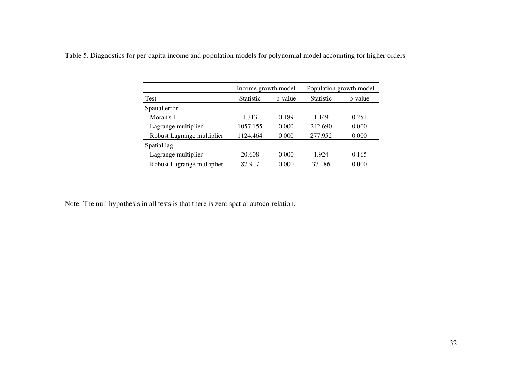|                            |                  | Income growth model |                  | Population growth model |  |
|----------------------------|------------------|---------------------|------------------|-------------------------|--|
| <b>Test</b>                | <b>Statistic</b> | p-value             | <b>Statistic</b> | p-value                 |  |
| Spatial error:             |                  |                     |                  |                         |  |
| Moran's I                  | 1.313            | 0.189               | 1.149            | 0.251                   |  |
| Lagrange multiplier        | 1057.155         | 0.000               | 242.690          | 0.000                   |  |
| Robust Lagrange multiplier | 1124.464         | 0.000               | 277.952          | 0.000                   |  |
| Spatial lag:               |                  |                     |                  |                         |  |
| Lagrange multiplier        | 20.608           | 0.000               | 1.924            | 0.165                   |  |
| Robust Lagrange multiplier | 87.917           | 0.000               | 37.186           | 0.000                   |  |

Table 5. Diagnostics for per-capita income and population models for polynomial model accounting for higher orders

Note: The null hypothesis in all tests is that there is zero spatial autocorrelation.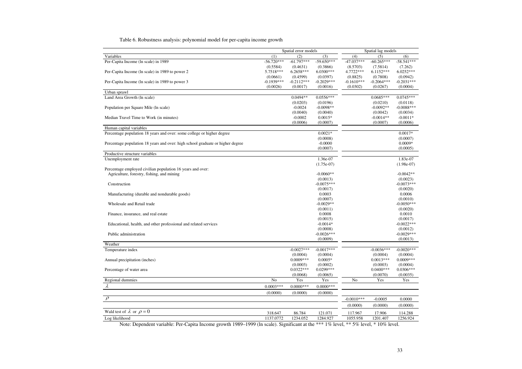Table 6. Robustness analysis: polynomial model for per-capita income growth

|                                                                                | Spatial error models |              |              |              | Spatial lag models |              |
|--------------------------------------------------------------------------------|----------------------|--------------|--------------|--------------|--------------------|--------------|
| Variables                                                                      | (1)                  | (2)          | (3)          | (4)          | (5)                | (6)          |
| Per-Capita Income (ln scale) in 1989                                           | $-56.720***$         | $-61.797***$ | $-59.650***$ | $-47.037***$ | $-60.265***$       | $-58.541***$ |
|                                                                                | (0.5584)             | (0.4631)     | (0.3866)     | (8.5703)     | (7.5814)           | (7.262)      |
| Per-Capita Income (ln scale) in 1989 to power 2                                | 5.7518***            | 6.2658***    | 6.0300***    | 4.7722***    | $6.1152***$        | $6.0252***$  |
|                                                                                | (0.0661)             | (0.4599)     | (0.0397)     | (0.8825)     | (0.7808)           | (0.0942)     |
| Per-Capita Income (ln scale) in 1989 to power 3                                | $-0.1939***$         | $-0.2112***$ | $-0.2029***$ | $-0.1610***$ | $-0.2064***$       | $-0.2031***$ |
|                                                                                | (0.0026)             | (0.0017)     | (0.0016)     | (0.0302)     | (0.0267)           | (0.0004)     |
| Urban sprawl                                                                   |                      |              |              |              |                    |              |
| Land Area Growth (ln scale)                                                    |                      | $0.0494**$   | $0.0556***$  |              | $0.0685***$        | $0.0745***$  |
|                                                                                |                      | (0.0203)     | (0.0196)     |              | (0.0210)           | (0.0118)     |
| Population per Square Mile (ln scale)                                          |                      | $-0.0024$    | $-0.0098**$  |              | $-0.0092**$        | $-0.0088***$ |
|                                                                                |                      | (0.0040)     | (0.0040)     |              | (0.0042)           | (0.0034)     |
| Median Travel Time to Work (in minutes)                                        |                      | $-0.0002$    | $0.0015*$    |              | $-0.0014**$        | $-0.0011*$   |
|                                                                                |                      | (0.0006)     | (0.0007)     |              | (0.0007)           | (0.0006)     |
| Human capital variables                                                        |                      |              |              |              |                    |              |
| Percentage population 18 years and over: some college or higher degree         |                      |              | $0.0021*$    |              |                    | $0.0017*$    |
|                                                                                |                      |              | (0.0008)     |              |                    | (0.0007)     |
| Percentage population 18 years and over: high school graduate or higher degree |                      |              | $-0.0000$    |              |                    | $0.0009*$    |
|                                                                                |                      |              | (0.0007)     |              |                    | (0.0005)     |
| Productive structure variables                                                 |                      |              |              |              |                    |              |
| Unemployment rate                                                              |                      |              | 1.36e-07     |              |                    | 1.83e-07     |
|                                                                                |                      |              | $(1.75e-07)$ |              |                    | $(1.98e-07)$ |
| Percentage employed civilian population 16 years and over:                     |                      |              |              |              |                    |              |
| Agriculture, forestry, fishing, and mining                                     |                      |              | $-0.0060**$  |              |                    | $-0.0042**$  |
|                                                                                |                      |              | (0.0013)     |              |                    | (0.0023)     |
| Construction                                                                   |                      |              | $-0.0075***$ |              |                    | $-0.0073***$ |
|                                                                                |                      |              | (0.0017)     |              |                    | (0.0020)     |
| Manufacturing (durable and nondurable goods)                                   |                      |              | 0.0003       |              |                    | 0.0006       |
|                                                                                |                      |              | (0.0007)     |              |                    | (0.0010)     |
| Wholesale and Retail trade                                                     |                      |              | $-0.0029**$  |              |                    | $-0.0050***$ |
|                                                                                |                      |              | (0.0011)     |              |                    | (0.0020)     |
| Finance, insurance, and real estate                                            |                      |              | 0.0008       |              |                    | 0.0010       |
|                                                                                |                      |              | (0.0015)     |              |                    | (0.0017)     |
| Educational, health, and other professional and related services               |                      |              | $-0.0014*$   |              |                    | $-0.0022***$ |
|                                                                                |                      |              | (0.0008)     |              |                    | (0.0012)     |
| Public administration                                                          |                      |              | $-0.0026***$ |              |                    | $-0.0029***$ |
|                                                                                |                      |              | (0.0009)     |              |                    | (0.0013)     |
| Weather                                                                        |                      |              |              |              |                    |              |
| Temperature index                                                              |                      | $-0.0027***$ | $-0.0017***$ |              | $-0.0036***$       | $-0.0020***$ |
|                                                                                |                      | (0.0004)     | (0.0004)     |              | (0.0004)           | (0.0004)     |
| Annual precipitation (inches)                                                  |                      | $0.0009***$  | $0.0005*$    |              | $0.0013***$        | $0.0009***$  |
|                                                                                |                      | (0.0003)     | (0.0002)     |              | (0.0003)           | (0.0004)     |
| Percentage of water area                                                       |                      | $0.0322***$  | 0.0299***    |              | $0.0400***$        | $0.0306***$  |
|                                                                                |                      | (0.0068)     | (0.0065)     |              | (0.0070)           | (0.0035)     |
| Regional dummies                                                               | N <sub>0</sub>       | Yes          | Yes          | No           | Yes                | Yes          |
| λ                                                                              | $0.0003***$          | $0.0000***$  | $0.0000***$  |              |                    |              |
|                                                                                | (0.0000)             | (0.0000)     | (0.0000)     |              |                    |              |
| $\rho$                                                                         |                      |              |              | $-0.0010***$ | $-0.0005$          | 0.0000       |
|                                                                                |                      |              |              |              |                    |              |
|                                                                                |                      |              |              | (0.0000)     | (0.0000)           | (0.0000)     |
| Wald test of $\lambda$ or $\rho = 0$                                           | 318.647              | 86.784       | 121.071      | 117.967      | 17.906             | 114.288      |
| Log likelihood                                                                 | 1137.0772            | 1234.052     | 1284.927     | 1055.958     | 1201.407           | 1256.924     |
|                                                                                |                      |              |              |              |                    |              |

Note: Dependent variable: Per-Capita Income growth 1989–1999 (ln scale). Significant at the \*\*\* 1% level, \*\* 5% level, \* 10% level.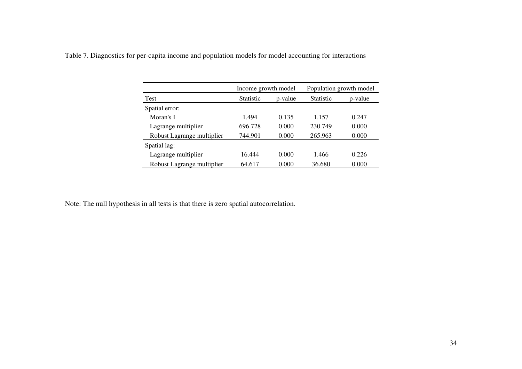|                            | Income growth model |         |                  | Population growth model |
|----------------------------|---------------------|---------|------------------|-------------------------|
| <b>Test</b>                | <b>Statistic</b>    | p-value | <b>Statistic</b> | p-value                 |
| Spatial error:             |                     |         |                  |                         |
| Moran's I                  | 1.494               | 0.135   | 1.157            | 0.247                   |
| Lagrange multiplier        | 696.728             | 0.000   | 230.749          | 0.000                   |
| Robust Lagrange multiplier | 744.901             | 0.000   | 265.963          | 0.000                   |
| Spatial lag:               |                     |         |                  |                         |
| Lagrange multiplier        | 16.444              | 0.000   | 1.466            | 0.226                   |
| Robust Lagrange multiplier | 64.617              | 0.000   | 36.680           | 0.000                   |

Table 7. Diagnostics for per-capita income and population models for model accounting for interactions

Note: The null hypothesis in all tests is that there is zero spatial autocorrelation.